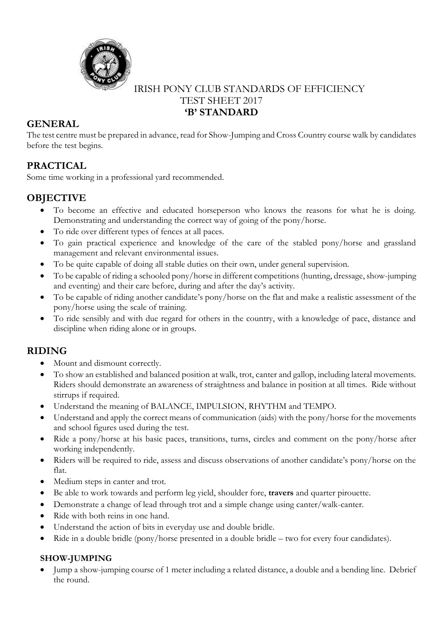

# IRISH PONY CLUB STANDARDS OF EFFICIENCY TEST SHEET 2017 **'B' STANDARD**

# **GENERAL**

The test centre must be prepared in advance, read for Show-Jumping and Cross Country course walk by candidates before the test begins.

# **PRACTICAL**

Some time working in a professional yard recommended.

# **OBJECTIVE**

- To become an effective and educated horseperson who knows the reasons for what he is doing. Demonstrating and understanding the correct way of going of the pony/horse.
- To ride over different types of fences at all paces.
- To gain practical experience and knowledge of the care of the stabled pony/horse and grassland management and relevant environmental issues.
- To be quite capable of doing all stable duties on their own, under general supervision.
- To be capable of riding a schooled pony/horse in different competitions (hunting, dressage, show-jumping and eventing) and their care before, during and after the day's activity.
- To be capable of riding another candidate's pony/horse on the flat and make a realistic assessment of the pony/horse using the scale of training.
- To ride sensibly and with due regard for others in the country, with a knowledge of pace, distance and discipline when riding alone or in groups.

# **RIDING**

- Mount and dismount correctly.
- To show an established and balanced position at walk, trot, canter and gallop, including lateral movements. Riders should demonstrate an awareness of straightness and balance in position at all times. Ride without stirrups if required.
- Understand the meaning of BALANCE, IMPULSION, RHYTHM and TEMPO.
- Understand and apply the correct means of communication (aids) with the pony/horse for the movements and school figures used during the test.
- Ride a pony/horse at his basic paces, transitions, turns, circles and comment on the pony/horse after working independently.
- Riders will be required to ride, assess and discuss observations of another candidate's pony/horse on the flat.
- Medium steps in canter and trot.
- Be able to work towards and perform leg yield, shoulder fore, **travers** and quarter pirouette.
- Demonstrate a change of lead through trot and a simple change using canter/walk-canter.
- Ride with both reins in one hand.
- Understand the action of bits in everyday use and double bridle.
- Ride in a double bridle (pony/horse presented in a double bridle two for every four candidates).

### **SHOW-JUMPING**

• Jump a show-jumping course of 1 meter including a related distance, a double and a bending line. Debrief the round.